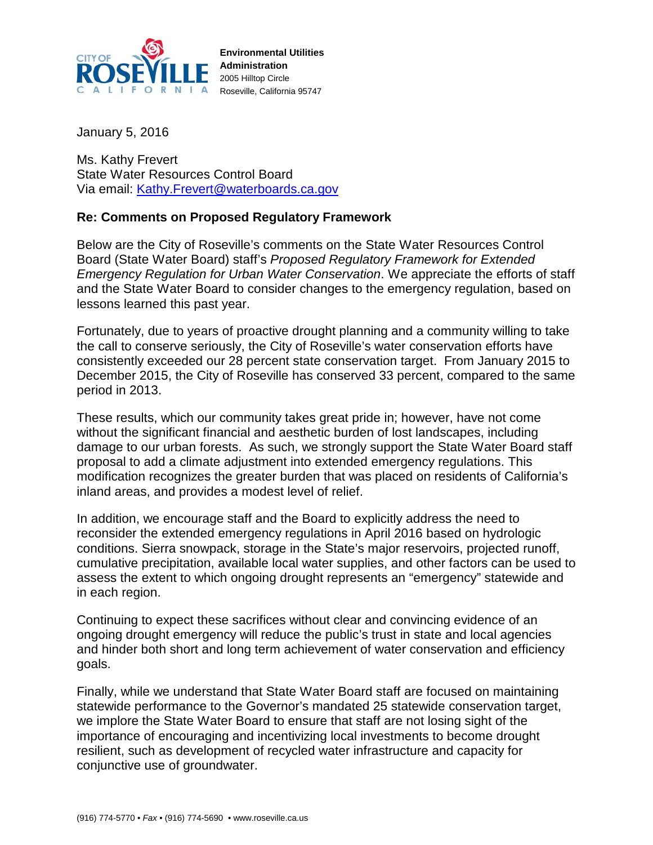

**Environmental Utilities Administration** 2005 Hilltop Circle Roseville, California 95747

January 5, 2016

Ms. Kathy Frevert State Water Resources Control Board Via email: [Kathy.Frevert@waterboards.ca.gov](mailto:Kathy.Frevert@waterboards.ca.gov)

## **Re: Comments on Proposed Regulatory Framework**

Below are the City of Roseville's comments on the State Water Resources Control Board (State Water Board) staff's *Proposed Regulatory Framework for Extended Emergency Regulation for Urban Water Conservation*. We appreciate the efforts of staff and the State Water Board to consider changes to the emergency regulation, based on lessons learned this past year.

Fortunately, due to years of proactive drought planning and a community willing to take the call to conserve seriously, the City of Roseville's water conservation efforts have consistently exceeded our 28 percent state conservation target. From January 2015 to December 2015, the City of Roseville has conserved 33 percent, compared to the same period in 2013.

These results, which our community takes great pride in; however, have not come without the significant financial and aesthetic burden of lost landscapes, including damage to our urban forests. As such, we strongly support the State Water Board staff proposal to add a climate adjustment into extended emergency regulations. This modification recognizes the greater burden that was placed on residents of California's inland areas, and provides a modest level of relief.

In addition, we encourage staff and the Board to explicitly address the need to reconsider the extended emergency regulations in April 2016 based on hydrologic conditions. Sierra snowpack, storage in the State's major reservoirs, projected runoff, cumulative precipitation, available local water supplies, and other factors can be used to assess the extent to which ongoing drought represents an "emergency" statewide and in each region.

Continuing to expect these sacrifices without clear and convincing evidence of an ongoing drought emergency will reduce the public's trust in state and local agencies and hinder both short and long term achievement of water conservation and efficiency goals.

Finally, while we understand that State Water Board staff are focused on maintaining statewide performance to the Governor's mandated 25 statewide conservation target, we implore the State Water Board to ensure that staff are not losing sight of the importance of encouraging and incentivizing local investments to become drought resilient, such as development of recycled water infrastructure and capacity for conjunctive use of groundwater.